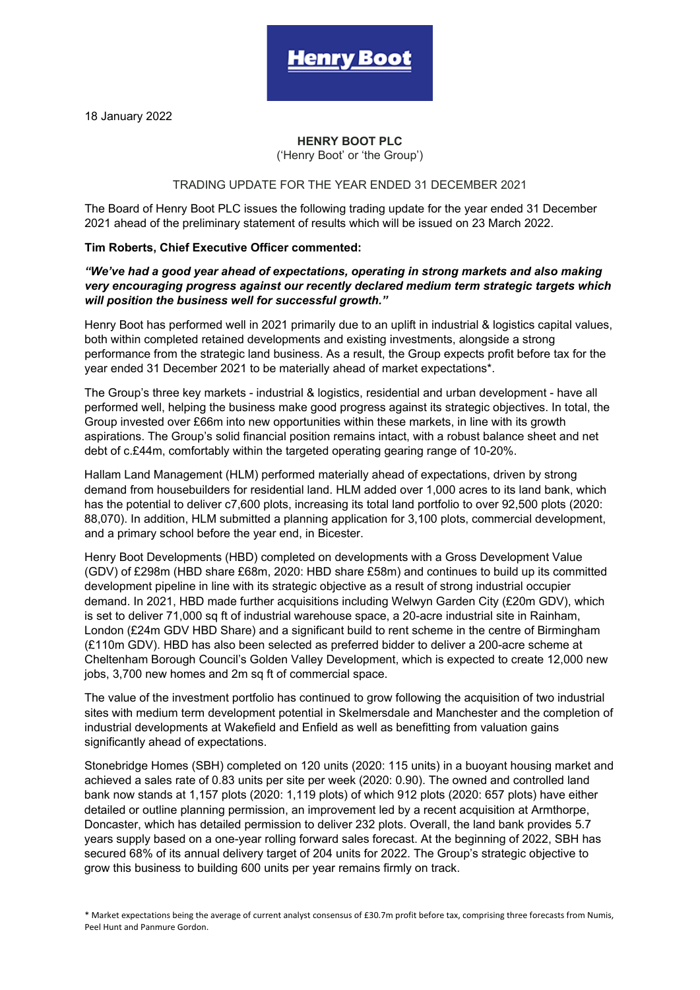18 January 2022

# **HENRY BOOT PLC**

enrv Boc

('Henry Boot' or 'the Group')

## TRADING UPDATE FOR THE YEAR ENDED 31 DECEMBER 2021

The Board of Henry Boot PLC issues the following trading update for the year ended 31 December 2021 ahead of the preliminary statement of results which will be issued on 23 March 2022.

## **Tim Roberts, Chief Executive Officer commented:**

## *"We've had a good year ahead of expectations, operating in strong markets and also making very encouraging progress against our recently declared medium term strategic targets which will position the business well for successful growth."*

Henry Boot has performed well in 2021 primarily due to an uplift in industrial & logistics capital values, both within completed retained developments and existing investments, alongside a strong performance from the strategic land business. As a result, the Group expects profit before tax for the year ended 31 December 2021 to be materially ahead of market expectations\*.

The Group's three key markets - industrial & logistics, residential and urban development - have all performed well, helping the business make good progress against its strategic objectives. In total, the Group invested over £66m into new opportunities within these markets, in line with its growth aspirations. The Group's solid financial position remains intact, with a robust balance sheet and net debt of c.£44m, comfortably within the targeted operating gearing range of 10-20%.

Hallam Land Management (HLM) performed materially ahead of expectations, driven by strong demand from housebuilders for residential land. HLM added over 1,000 acres to its land bank, which has the potential to deliver c7,600 plots, increasing its total land portfolio to over 92,500 plots (2020: 88,070). In addition, HLM submitted a planning application for 3,100 plots, commercial development, and a primary school before the year end, in Bicester.

Henry Boot Developments (HBD) completed on developments with a Gross Development Value (GDV) of £298m (HBD share £68m, 2020: HBD share £58m) and continues to build up its committed development pipeline in line with its strategic objective as a result of strong industrial occupier demand. In 2021, HBD made further acquisitions including Welwyn Garden City (£20m GDV), which is set to deliver 71,000 sq ft of industrial warehouse space, a 20-acre industrial site in Rainham, London (£24m GDV HBD Share) and a significant build to rent scheme in the centre of Birmingham (£110m GDV). HBD has also been selected as preferred bidder to deliver a 200-acre scheme at Cheltenham Borough Council's Golden Valley Development, which is expected to create 12,000 new jobs, 3,700 new homes and 2m sq ft of commercial space.

The value of the investment portfolio has continued to grow following the acquisition of two industrial sites with medium term development potential in Skelmersdale and Manchester and the completion of industrial developments at Wakefield and Enfield as well as benefitting from valuation gains significantly ahead of expectations.

Stonebridge Homes (SBH) completed on 120 units (2020: 115 units) in a buoyant housing market and achieved a sales rate of 0.83 units per site per week (2020: 0.90). The owned and controlled land bank now stands at 1,157 plots (2020: 1,119 plots) of which 912 plots (2020: 657 plots) have either detailed or outline planning permission, an improvement led by a recent acquisition at Armthorpe, Doncaster, which has detailed permission to deliver 232 plots. Overall, the land bank provides 5.7 years supply based on a one-year rolling forward sales forecast. At the beginning of 2022, SBH has secured 68% of its annual delivery target of 204 units for 2022. The Group's strategic objective to grow this business to building 600 units per year remains firmly on track.

\* Market expectations being the average of current analyst consensus of £30.7m profit before tax, comprising three forecasts from Numis, Peel Hunt and Panmure Gordon.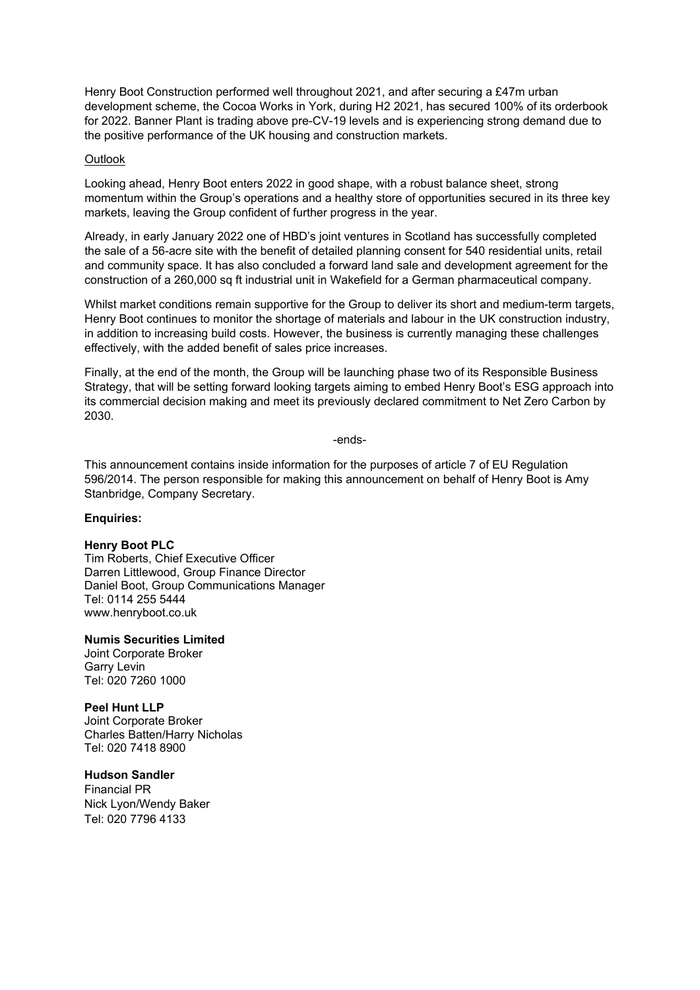Henry Boot Construction performed well throughout 2021, and after securing a £47m urban development scheme, the Cocoa Works in York, during H2 2021, has secured 100% of its orderbook for 2022. Banner Plant is trading above pre-CV-19 levels and is experiencing strong demand due to the positive performance of the UK housing and construction markets.

#### **Outlook**

Looking ahead, Henry Boot enters 2022 in good shape, with a robust balance sheet, strong momentum within the Group's operations and a healthy store of opportunities secured in its three key markets, leaving the Group confident of further progress in the year.

Already, in early January 2022 one of HBD's joint ventures in Scotland has successfully completed the sale of a 56-acre site with the benefit of detailed planning consent for 540 residential units, retail and community space. It has also concluded a forward land sale and development agreement for the construction of a 260,000 sq ft industrial unit in Wakefield for a German pharmaceutical company.

Whilst market conditions remain supportive for the Group to deliver its short and medium-term targets, Henry Boot continues to monitor the shortage of materials and labour in the UK construction industry, in addition to increasing build costs. However, the business is currently managing these challenges effectively, with the added benefit of sales price increases.

Finally, at the end of the month, the Group will be launching phase two of its Responsible Business Strategy, that will be setting forward looking targets aiming to embed Henry Boot's ESG approach into its commercial decision making and meet its previously declared commitment to Net Zero Carbon by 2030.

-ends-

This announcement contains inside information for the purposes of article 7 of EU Regulation 596/2014. The person responsible for making this announcement on behalf of Henry Boot is Amy Stanbridge, Company Secretary.

# **Enquiries:**

#### **Henry Boot PLC**

Tim Roberts, Chief Executive Officer Darren Littlewood, Group Finance Director Daniel Boot, Group Communications Manager Tel: 0114 255 5444 www.henryboot.co.uk

**Numis Securities Limited**

Joint Corporate Broker Garry Levin Tel: 020 7260 1000

**Peel Hunt LLP** Joint Corporate Broker

Charles Batten/Harry Nicholas Tel: 020 7418 8900

# **Hudson Sandler**

Financial PR Nick Lyon/Wendy Baker Tel: 020 7796 4133